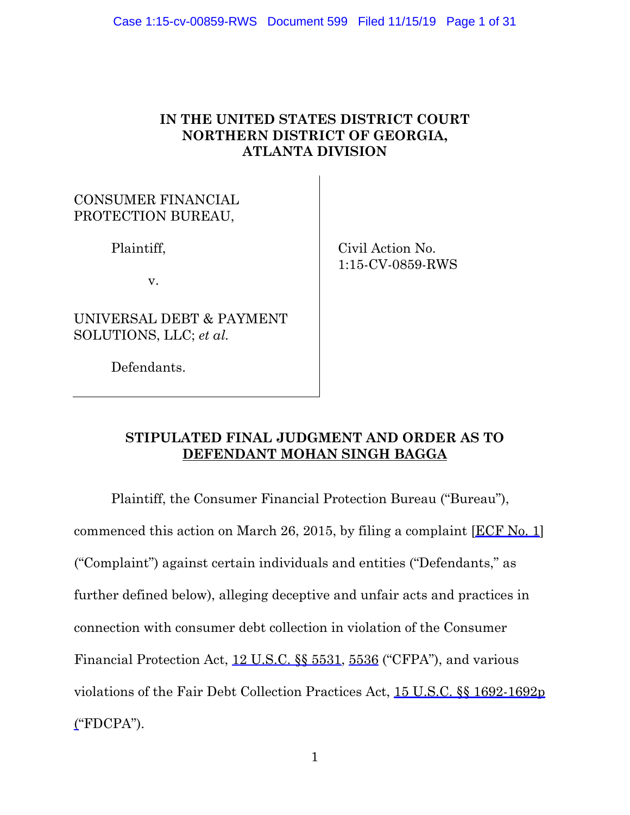# **IN THE UNITED STATES DISTRICT COURT NORTHERN DISTRICT OF GEORGIA, ATLANTA DIVISION**

# CONSUMER FINANCIAL PROTECTION BUREAU,

Plaintiff,

v.

UNIVERSAL DEBT & PAYMENT SOLUTIONS, LLC; *et al.*

Defendants.

 Civil Action No. 1:15-CV-0859-RWS

# **STIPULATED FINAL JUDGMENT AND ORDER AS TO DEFENDANT MOHAN SINGH BAGGA**

Plaintiff, the Consumer Financial Protection Bureau ("Bureau"), commenced this action on March 26, 2015, by filing a complaint [ECF No. 1] ("Complaint") against certain individuals and entities ("Defendants," as further defined below), alleging deceptive and unfair acts and practices in connection with consumer debt collection in violation of the Consumer Financial Protection Act, 12 U.S.C. §§ 5531, 5536 ("CFPA"), and various violations of the Fair Debt Collection Practices Act, 15 U.S.C. §§ 1692-1692p  $'FDCPA$ ").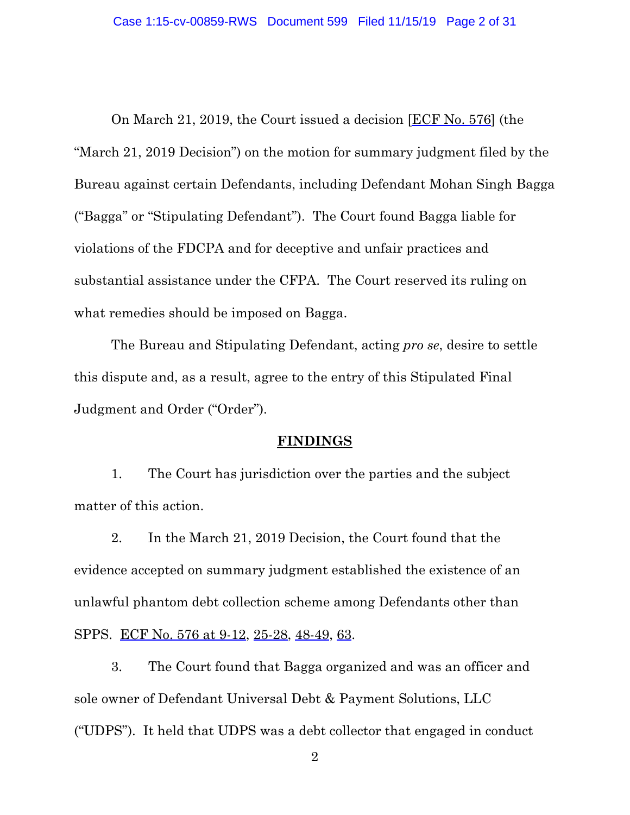On March 21, 2019, the Court issued a decision [ECF No. 576] (the "March 21, 2019 Decision") on the motion for summary judgment filed by the Bureau against certain Defendants, including Defendant Mohan Singh Bagga ("Bagga" or "Stipulating Defendant"). The Court found Bagga liable for violations of the FDCPA and for deceptive and unfair practices and substantial assistance under the CFPA. The Court reserved its ruling on what remedies should be imposed on Bagga.

The Bureau and Stipulating Defendant, acting *pro se*, desire to settle this dispute and, as a result, agree to the entry of this Stipulated Final Judgment and Order ("Order").

#### **FINDINGS**

1. The Court has jurisdiction over the parties and the subject matter of this action.

2. In the March 21, 2019 Decision, the Court found that the evidence accepted on summary judgment established the existence of an unlawful phantom debt collection scheme among Defendants other than SPPS. ECF No. 576 at 9-12, 25-28, 48-49, 63.

3. The Court found that Bagga organized and was an officer and sole owner of Defendant Universal Debt & Payment Solutions, LLC ("UDPS"). It held that UDPS was a debt collector that engaged in conduct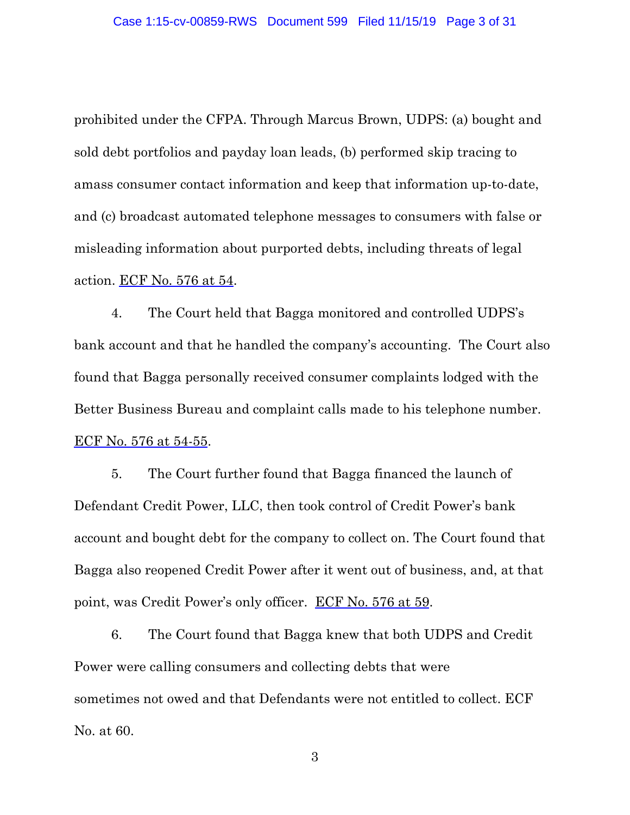prohibited under the CFPA. Through Marcus Brown, UDPS: (a) bought and sold debt portfolios and payday loan leads, (b) performed skip tracing to amass consumer contact information and keep that information up-to-date, and (c) broadcast automated telephone messages to consumers with false or misleading information about purported debts, including threats of legal action. ECF No. 576 at 54.

4. The Court held that Bagga monitored and controlled UDPS's bank account and that he handled the company's accounting. The Court also found that Bagga personally received consumer complaints lodged with the Better Business Bureau and complaint calls made to his telephone number. ECF No. 576 at 54-55.

5. The Court further found that Bagga financed the launch of Defendant Credit Power, LLC, then took control of Credit Power's bank account and bought debt for the company to collect on. The Court found that Bagga also reopened Credit Power after it went out of business, and, at that point, was Credit Power's only officer. ECF No. 576 at 59.

6. The Court found that Bagga knew that both UDPS and Credit Power were calling consumers and collecting debts that were sometimes not owed and that Defendants were not entitled to collect. ECF No. at 60.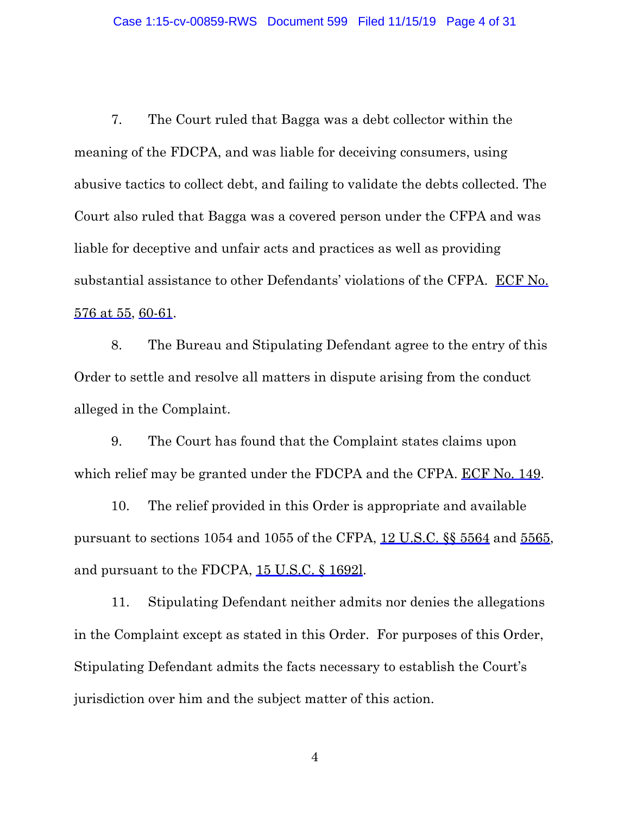7. The Court ruled that Bagga was a debt collector within the meaning of the FDCPA, and was liable for deceiving consumers, using abusive tactics to collect debt, and failing to validate the debts collected. The Court also ruled that Bagga was a covered person under the CFPA and was liable for deceptive and unfair acts and practices as well as providing substantial assistance to other Defendants' violations of the CFPA. ECF No. 576 at 55, 60-61.

8. The Bureau and Stipulating Defendant agree to the entry of this Order to settle and resolve all matters in dispute arising from the conduct alleged in the Complaint.

9. The Court has found that the Complaint states claims upon which relief may be granted under the FDCPA and the CFPA. ECF No. 149.

10. The relief provided in this Order is appropriate and available pursuant to sections 1054 and 1055 of the CFPA, 12 U.S.C. §§ 5564 and 5565, and pursuant to the FDCPA, 15 U.S.C. § 1692l.

11. Stipulating Defendant neither admits nor denies the allegations in the Complaint except as stated in this Order. For purposes of this Order, Stipulating Defendant admits the facts necessary to establish the Court's jurisdiction over him and the subject matter of this action.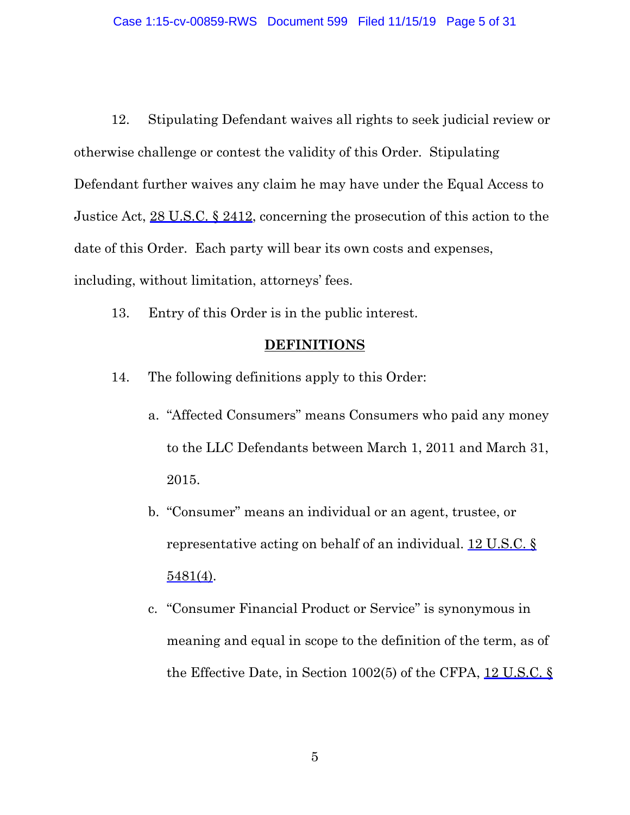12. Stipulating Defendant waives all rights to seek judicial review or otherwise challenge or contest the validity of this Order. Stipulating Defendant further waives any claim he may have under the Equal Access to Justice Act, 28 U.S.C. § 2412, concerning the prosecution of this action to the date of this Order. Each party will bear its own costs and expenses, including, without limitation, attorneys' fees.

13. Entry of this Order is in the public interest.

#### **DEFINITIONS**

- 14. The following definitions apply to this Order:
	- a. "Affected Consumers" means Consumers who paid any money to the LLC Defendants between March 1, 2011 and March 31, 2015.
	- b. "Consumer" means an individual or an agent, trustee, or representative acting on behalf of an individual. 12 U.S.C. § 5481(4).
	- c. "Consumer Financial Product or Service" is synonymous in meaning and equal in scope to the definition of the term, as of the Effective Date, in Section 1002(5) of the CFPA, 12 U.S.C. §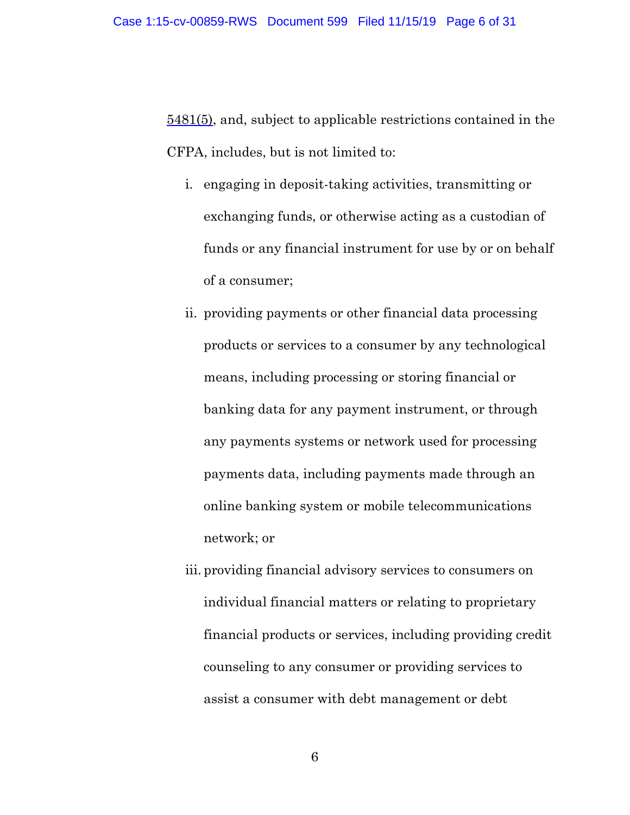5481(5), and, subject to applicable restrictions contained in the CFPA, includes, but is not limited to:

- i. engaging in deposit-taking activities, transmitting or exchanging funds, or otherwise acting as a custodian of funds or any financial instrument for use by or on behalf of a consumer;
- ii. providing payments or other financial data processing products or services to a consumer by any technological means, including processing or storing financial or banking data for any payment instrument, or through any payments systems or network used for processing payments data, including payments made through an online banking system or mobile telecommunications network; or
- iii. providing financial advisory services to consumers on individual financial matters or relating to proprietary financial products or services, including providing credit counseling to any consumer or providing services to assist a consumer with debt management or debt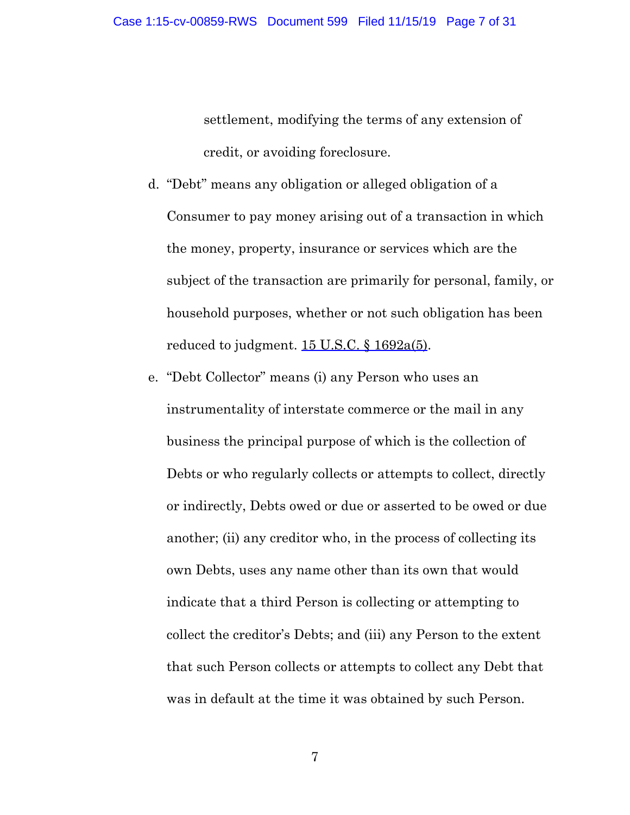settlement, modifying the terms of any extension of credit, or avoiding foreclosure.

- d. "Debt" means any obligation or alleged obligation of a Consumer to pay money arising out of a transaction in which the money, property, insurance or services which are the subject of the transaction are primarily for personal, family, or household purposes, whether or not such obligation has been reduced to judgment.  $15$  U.S.C.  $\frac{$1692a(5)}{245}$ .
- e. "Debt Collector" means (i) any Person who uses an instrumentality of interstate commerce or the mail in any business the principal purpose of which is the collection of Debts or who regularly collects or attempts to collect, directly or indirectly, Debts owed or due or asserted to be owed or due another; (ii) any creditor who, in the process of collecting its own Debts, uses any name other than its own that would indicate that a third Person is collecting or attempting to collect the creditor's Debts; and (iii) any Person to the extent that such Person collects or attempts to collect any Debt that was in default at the time it was obtained by such Person.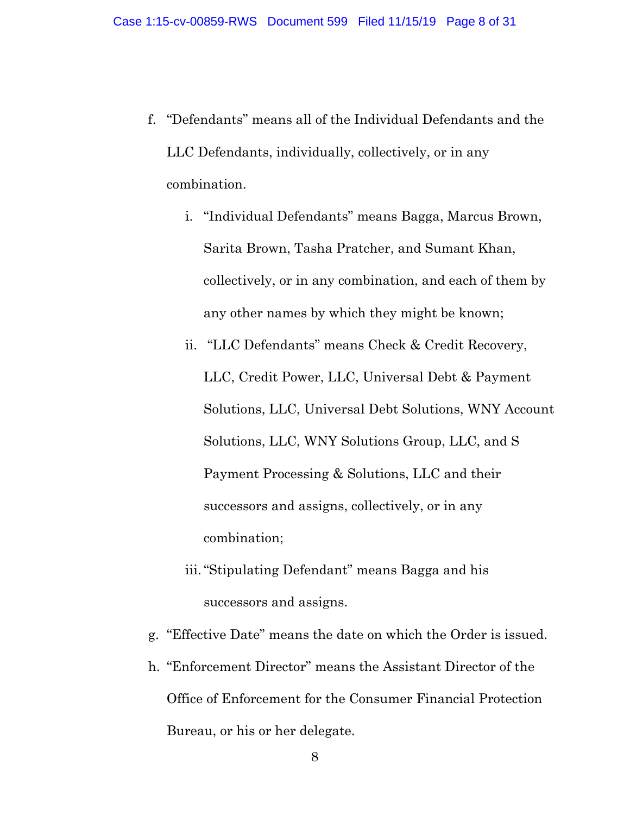- f. "Defendants" means all of the Individual Defendants and the LLC Defendants, individually, collectively, or in any combination.
	- i. "Individual Defendants" means Bagga, Marcus Brown, Sarita Brown, Tasha Pratcher, and Sumant Khan, collectively, or in any combination, and each of them by any other names by which they might be known;
	- ii. "LLC Defendants" means Check & Credit Recovery, LLC, Credit Power, LLC, Universal Debt & Payment Solutions, LLC, Universal Debt Solutions, WNY Account Solutions, LLC, WNY Solutions Group, LLC, and S Payment Processing & Solutions, LLC and their successors and assigns, collectively, or in any combination;
	- iii."Stipulating Defendant" means Bagga and his successors and assigns.
- g. "Effective Date" means the date on which the Order is issued.
- h. "Enforcement Director" means the Assistant Director of the Office of Enforcement for the Consumer Financial Protection Bureau, or his or her delegate.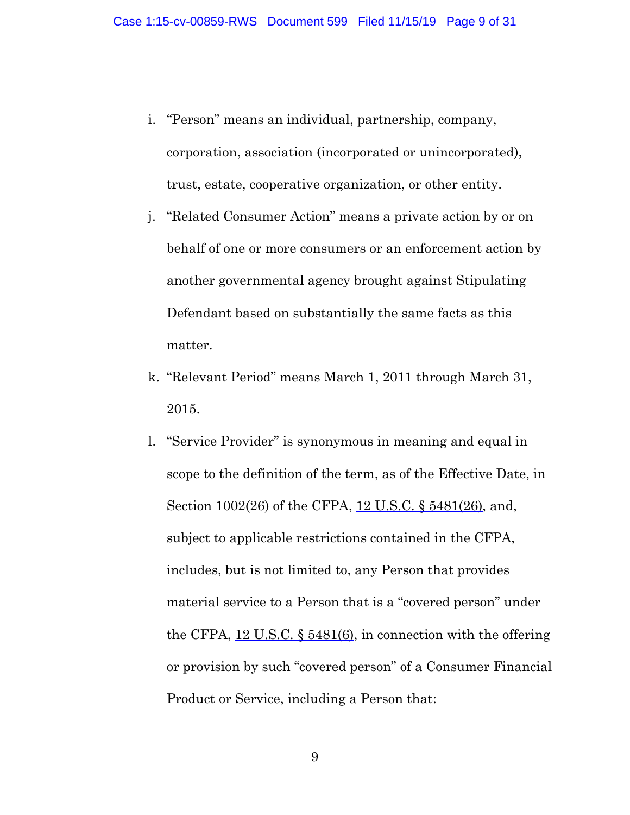- i. "Person" means an individual, partnership, company, corporation, association (incorporated or unincorporated), trust, estate, cooperative organization, or other entity.
- j. "Related Consumer Action" means a private action by or on behalf of one or more consumers or an enforcement action by another governmental agency brought against Stipulating Defendant based on substantially the same facts as this matter.
- k. "Relevant Period" means March 1, 2011 through March 31, 2015.
- l. "Service Provider" is synonymous in meaning and equal in scope to the definition of the term, as of the Effective Date, in Section 1002(26) of the CFPA, 12 U.S.C. § 5481(26), and, subject to applicable restrictions contained in the CFPA, includes, but is not limited to, any Person that provides material service to a Person that is a "covered person" under the CFPA, 12 U.S.C. § 5481(6), in connection with the offering or provision by such "covered person" of a Consumer Financial Product or Service, including a Person that: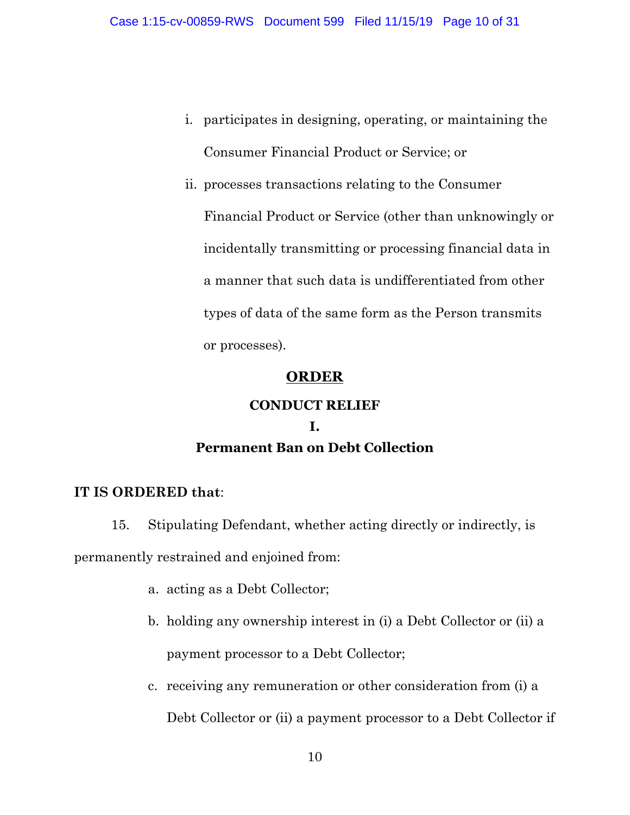- i. participates in designing, operating, or maintaining the Consumer Financial Product or Service; or
- ii. processes transactions relating to the Consumer Financial Product or Service (other than unknowingly or incidentally transmitting or processing financial data in a manner that such data is undifferentiated from other types of data of the same form as the Person transmits or processes).

# **ORDER**

#### **CONDUCT RELIEF**

# **I. Permanent Ban on Debt Collection**

# **IT IS ORDERED that**:

15. Stipulating Defendant, whether acting directly or indirectly, is permanently restrained and enjoined from:

- a. acting as a Debt Collector;
- b. holding any ownership interest in (i) a Debt Collector or (ii) a payment processor to a Debt Collector;
- c. receiving any remuneration or other consideration from (i) a

Debt Collector or (ii) a payment processor to a Debt Collector if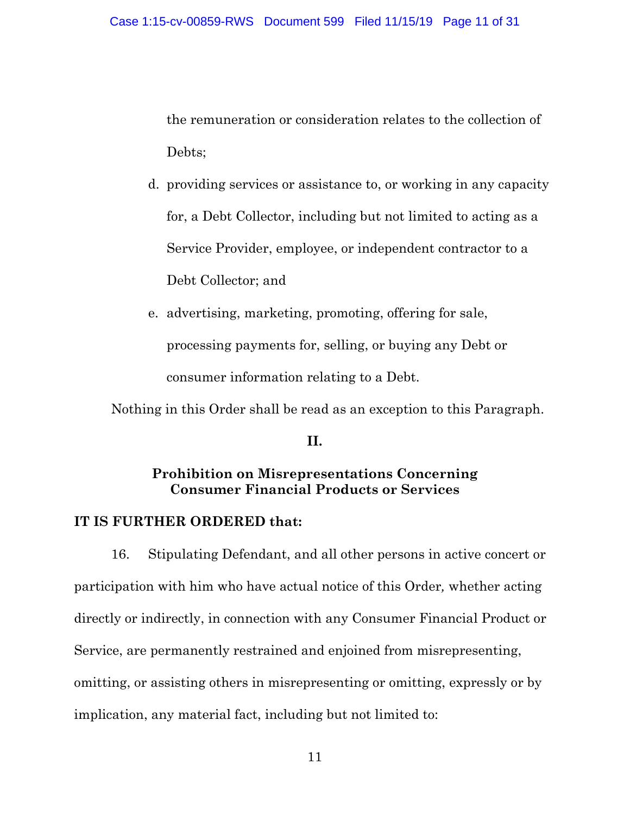the remuneration or consideration relates to the collection of Debts;

- d. providing services or assistance to, or working in any capacity for, a Debt Collector, including but not limited to acting as a Service Provider, employee, or independent contractor to a Debt Collector; and
- e. advertising, marketing, promoting, offering for sale, processing payments for, selling, or buying any Debt or consumer information relating to a Debt.

Nothing in this Order shall be read as an exception to this Paragraph.

#### **II.**

# **Prohibition on Misrepresentations Concerning Consumer Financial Products or Services**

# **IT IS FURTHER ORDERED that:**

16. Stipulating Defendant, and all other persons in active concert or participation with him who have actual notice of this Order*,* whether acting directly or indirectly, in connection with any Consumer Financial Product or Service, are permanently restrained and enjoined from misrepresenting, omitting, or assisting others in misrepresenting or omitting, expressly or by implication, any material fact, including but not limited to: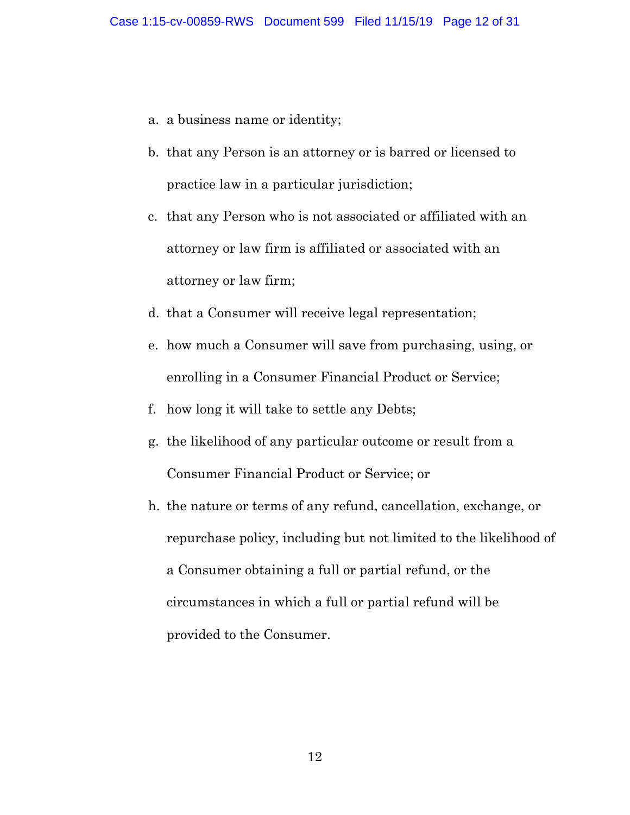- a. a business name or identity;
- b. that any Person is an attorney or is barred or licensed to practice law in a particular jurisdiction;
- c. that any Person who is not associated or affiliated with an attorney or law firm is affiliated or associated with an attorney or law firm;
- d. that a Consumer will receive legal representation;
- e. how much a Consumer will save from purchasing, using, or enrolling in a Consumer Financial Product or Service;
- f. how long it will take to settle any Debts;
- g. the likelihood of any particular outcome or result from a Consumer Financial Product or Service; or
- h. the nature or terms of any refund, cancellation, exchange, or repurchase policy, including but not limited to the likelihood of a Consumer obtaining a full or partial refund, or the circumstances in which a full or partial refund will be provided to the Consumer.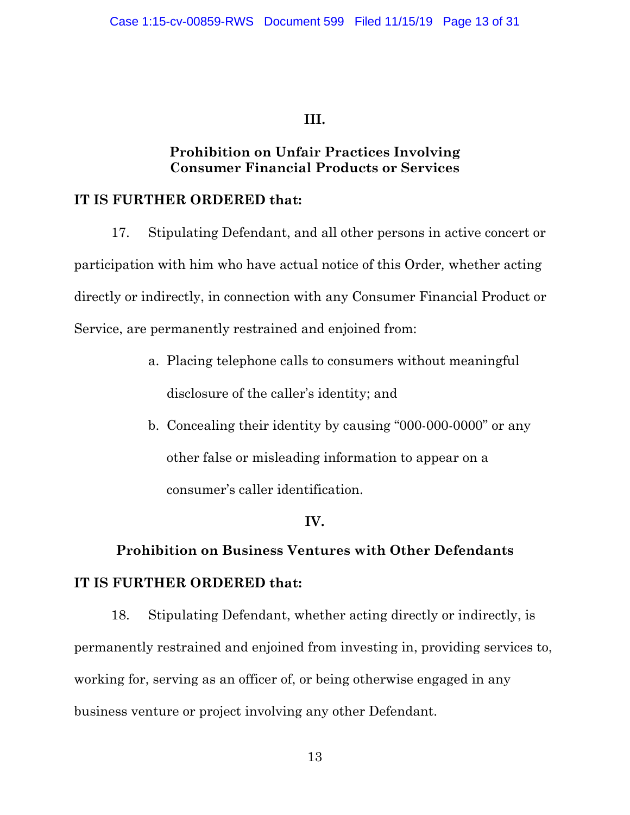# **III.**

# **Prohibition on Unfair Practices Involving Consumer Financial Products or Services**

# **IT IS FURTHER ORDERED that:**

17. Stipulating Defendant, and all other persons in active concert or participation with him who have actual notice of this Order*,* whether acting directly or indirectly, in connection with any Consumer Financial Product or Service, are permanently restrained and enjoined from:

- a. Placing telephone calls to consumers without meaningful disclosure of the caller's identity; and
- b. Concealing their identity by causing "000-000-0000" or any other false or misleading information to appear on a consumer's caller identification.

# **IV.**

# **Prohibition on Business Ventures with Other Defendants IT IS FURTHER ORDERED that:**

18. Stipulating Defendant, whether acting directly or indirectly, is permanently restrained and enjoined from investing in, providing services to, working for, serving as an officer of, or being otherwise engaged in any business venture or project involving any other Defendant.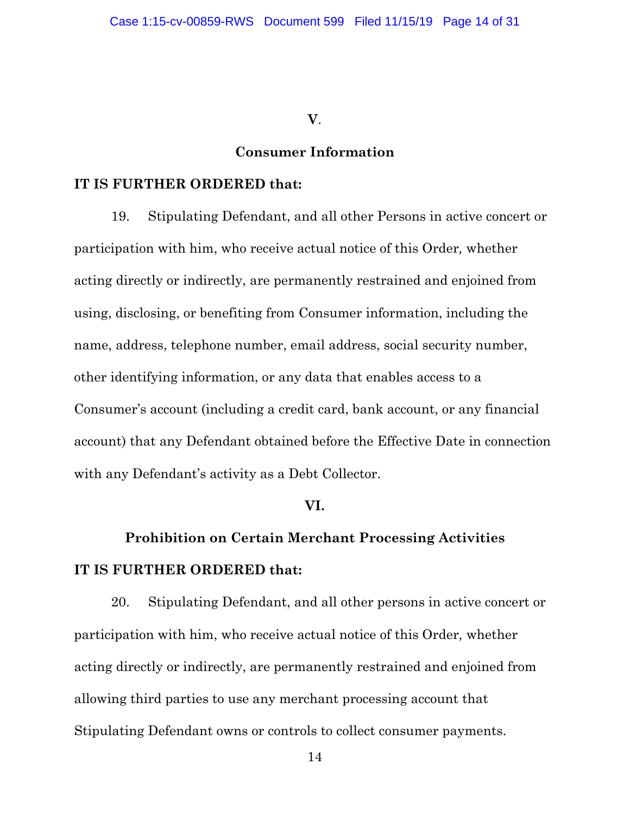**V**.

#### **Consumer Information**

#### **IT IS FURTHER ORDERED that:**

19. Stipulating Defendant, and all other Persons in active concert or participation with him, who receive actual notice of this Order*,* whether acting directly or indirectly, are permanently restrained and enjoined from using, disclosing, or benefiting from Consumer information, including the name, address, telephone number, email address, social security number, other identifying information, or any data that enables access to a Consumer's account (including a credit card, bank account, or any financial account) that any Defendant obtained before the Effective Date in connection with any Defendant's activity as a Debt Collector.

# **VI.**

# **Prohibition on Certain Merchant Processing Activities IT IS FURTHER ORDERED that:**

20. Stipulating Defendant, and all other persons in active concert or participation with him, who receive actual notice of this Order*,* whether acting directly or indirectly, are permanently restrained and enjoined from allowing third parties to use any merchant processing account that Stipulating Defendant owns or controls to collect consumer payments.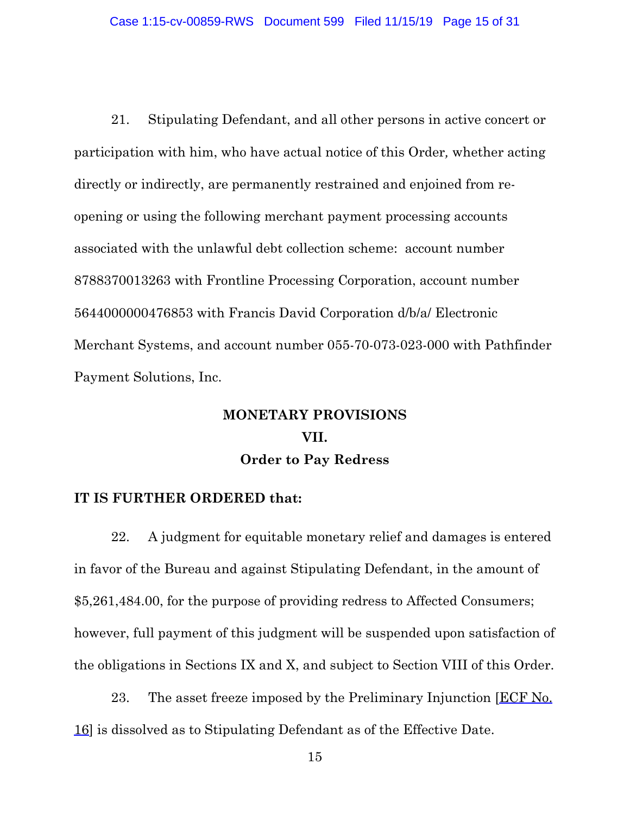21. Stipulating Defendant, and all other persons in active concert or participation with him, who have actual notice of this Order*,* whether acting directly or indirectly, are permanently restrained and enjoined from reopening or using the following merchant payment processing accounts associated with the unlawful debt collection scheme: account number 8788370013263 with Frontline Processing Corporation, account number 5644000000476853 with Francis David Corporation d/b/a/ Electronic Merchant Systems, and account number 055-70-073-023-000 with Pathfinder Payment Solutions, Inc.

# **MONETARY PROVISIONS VII. Order to Pay Redress**

#### **IT IS FURTHER ORDERED that:**

22. A judgment for equitable monetary relief and damages is entered in favor of the Bureau and against Stipulating Defendant, in the amount of \$5,261,484.00, for the purpose of providing redress to Affected Consumers; however, full payment of this judgment will be suspended upon satisfaction of the obligations in Sections IX and X, and subject to Section VIII of this Order.

23. The asset freeze imposed by the Preliminary Injunction [ECF No. 16] is dissolved as to Stipulating Defendant as of the Effective Date.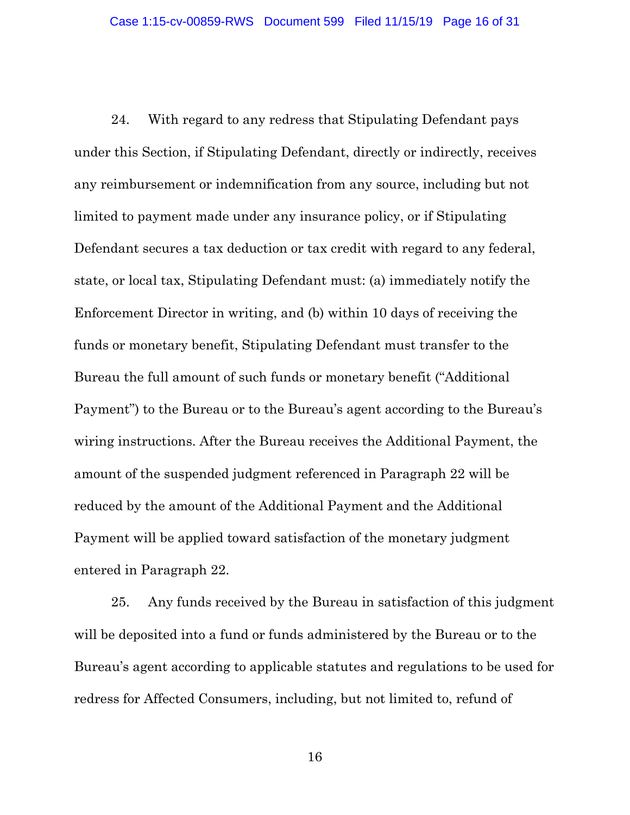24. With regard to any redress that Stipulating Defendant pays under this Section, if Stipulating Defendant, directly or indirectly, receives any reimbursement or indemnification from any source, including but not limited to payment made under any insurance policy, or if Stipulating Defendant secures a tax deduction or tax credit with regard to any federal, state, or local tax, Stipulating Defendant must: (a) immediately notify the Enforcement Director in writing, and (b) within 10 days of receiving the funds or monetary benefit, Stipulating Defendant must transfer to the Bureau the full amount of such funds or monetary benefit ("Additional Payment") to the Bureau or to the Bureau's agent according to the Bureau's wiring instructions. After the Bureau receives the Additional Payment, the amount of the suspended judgment referenced in Paragraph 22 will be reduced by the amount of the Additional Payment and the Additional Payment will be applied toward satisfaction of the monetary judgment entered in Paragraph 22.

25. Any funds received by the Bureau in satisfaction of this judgment will be deposited into a fund or funds administered by the Bureau or to the Bureau's agent according to applicable statutes and regulations to be used for redress for Affected Consumers, including, but not limited to, refund of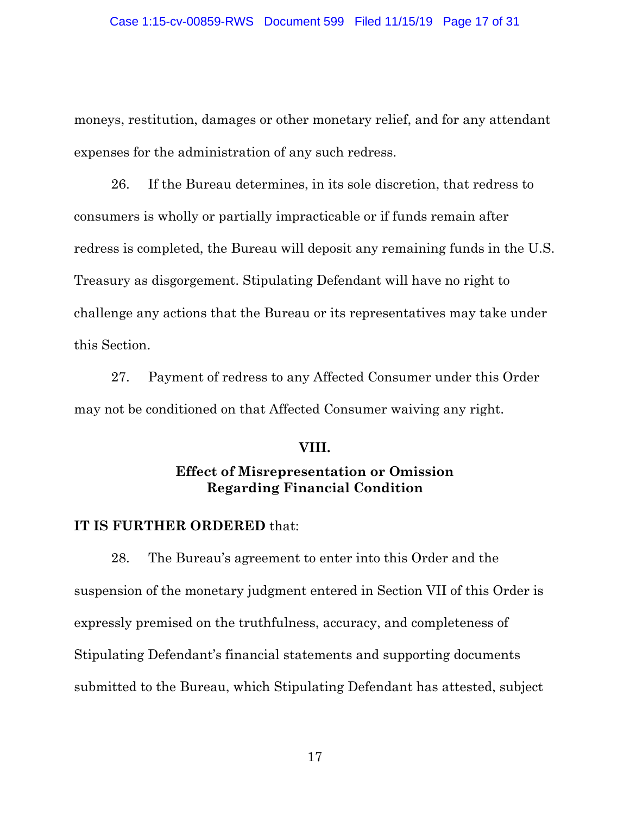moneys, restitution, damages or other monetary relief, and for any attendant expenses for the administration of any such redress.

26. If the Bureau determines, in its sole discretion, that redress to consumers is wholly or partially impracticable or if funds remain after redress is completed, the Bureau will deposit any remaining funds in the U.S. Treasury as disgorgement. Stipulating Defendant will have no right to challenge any actions that the Bureau or its representatives may take under this Section.

27. Payment of redress to any Affected Consumer under this Order may not be conditioned on that Affected Consumer waiving any right.

#### **VIII.**

# **Effect of Misrepresentation or Omission Regarding Financial Condition**

#### **IT IS FURTHER ORDERED** that:

28. The Bureau's agreement to enter into this Order and the suspension of the monetary judgment entered in Section VII of this Order is expressly premised on the truthfulness, accuracy, and completeness of Stipulating Defendant's financial statements and supporting documents submitted to the Bureau, which Stipulating Defendant has attested, subject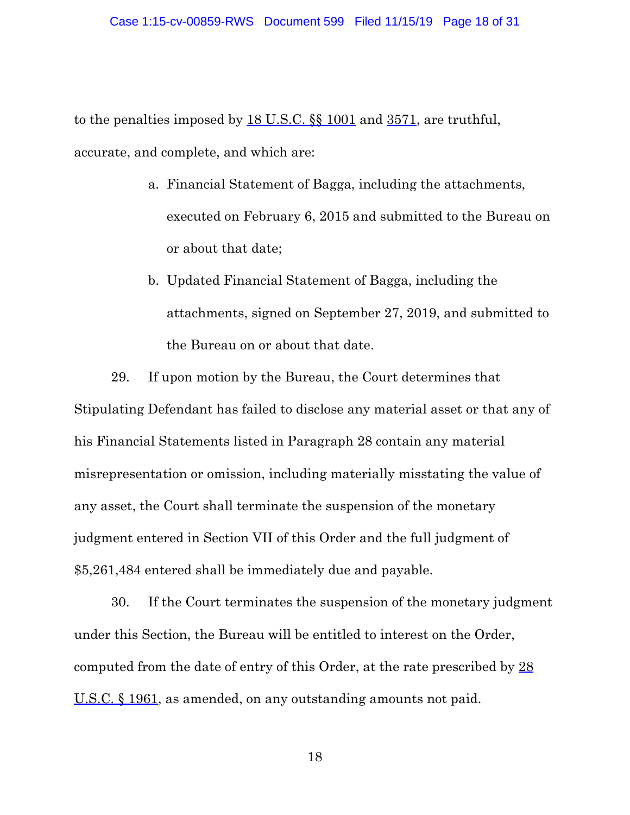to the penalties imposed by 18 U.S.C.  $\$  \ 1001 and 3571, are truthful, accurate, and complete, and which are:

- a. Financial Statement of Bagga, including the attachments, executed on February 6, 2015 and submitted to the Bureau on or about that date;
- b. Updated Financial Statement of Bagga, including the attachments, signed on September 27, 2019, and submitted to the Bureau on or about that date.

29. If upon motion by the Bureau, the Court determines that Stipulating Defendant has failed to disclose any material asset or that any of his Financial Statements listed in Paragraph 28 contain any material misrepresentation or omission, including materially misstating the value of any asset, the Court shall terminate the suspension of the monetary judgment entered in Section VII of this Order and the full judgment of \$5,261,484 entered shall be immediately due and payable.

30. If the Court terminates the suspension of the monetary judgment under this Section, the Bureau will be entitled to interest on the Order, computed from the date of entry of this Order, at the rate prescribed by 28 U.S.C. § 1961, as amended, on any outstanding amounts not paid.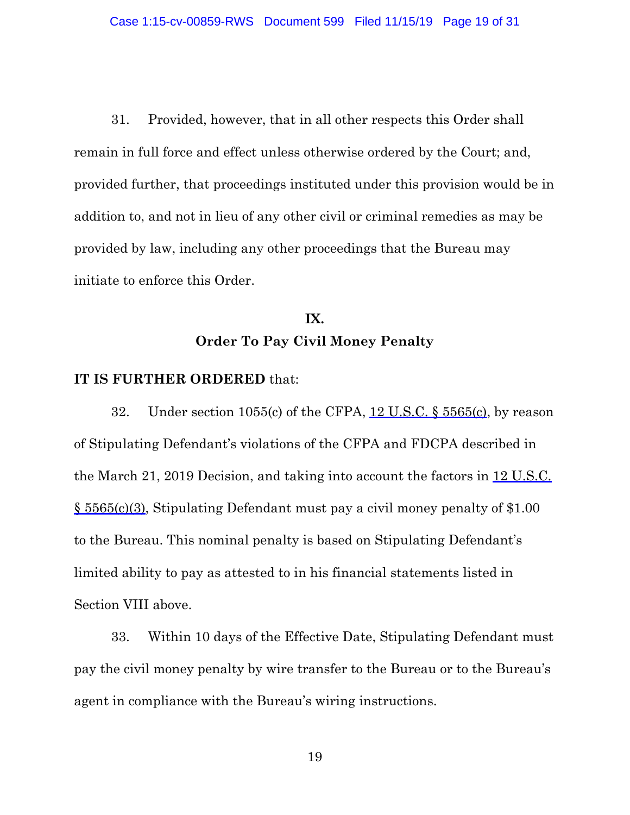31. Provided, however, that in all other respects this Order shall remain in full force and effect unless otherwise ordered by the Court; and, provided further, that proceedings instituted under this provision would be in addition to, and not in lieu of any other civil or criminal remedies as may be provided by law, including any other proceedings that the Bureau may initiate to enforce this Order.

# **IX. Order To Pay Civil Money Penalty**

#### **IT IS FURTHER ORDERED** that:

32. Under section 1055(c) of the CFPA,  $12$  U.S.C.  $\frac{5565(c)}{c}$ , by reason of Stipulating Defendant's violations of the CFPA and FDCPA described in the March 21, 2019 Decision, and taking into account the factors in 12 U.S.C. § 5565(c)(3), Stipulating Defendant must pay a civil money penalty of \$1.00 to the Bureau. This nominal penalty is based on Stipulating Defendant's limited ability to pay as attested to in his financial statements listed in Section VIII above.

33. Within 10 days of the Effective Date, Stipulating Defendant must pay the civil money penalty by wire transfer to the Bureau or to the Bureau's agent in compliance with the Bureau's wiring instructions.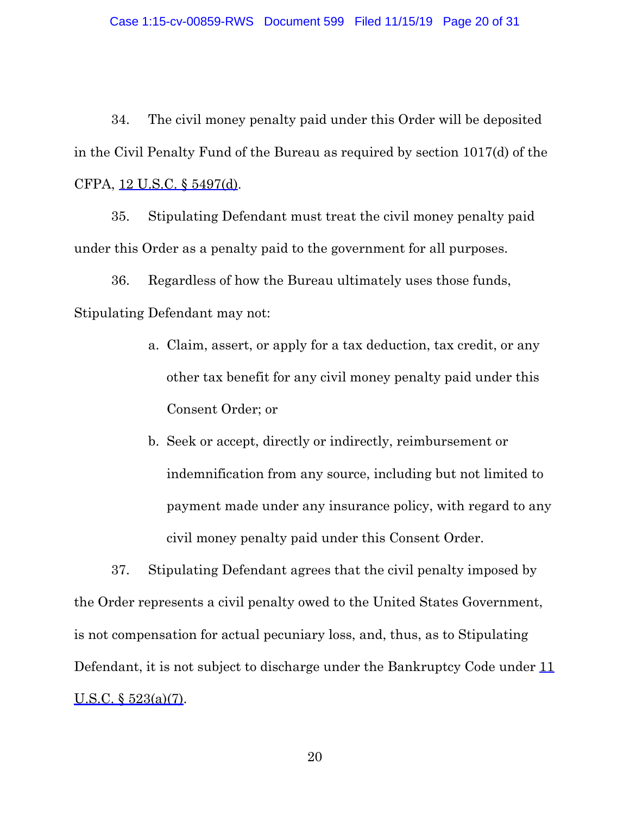34. The civil money penalty paid under this Order will be deposited in the Civil Penalty Fund of the Bureau as required by section 1017(d) of the CFPA, 12 U.S.C. § 5497(d).

35. Stipulating Defendant must treat the civil money penalty paid under this Order as a penalty paid to the government for all purposes.

36. Regardless of how the Bureau ultimately uses those funds, Stipulating Defendant may not:

- a. Claim, assert, or apply for a tax deduction, tax credit, or any other tax benefit for any civil money penalty paid under this Consent Order; or
- b. Seek or accept, directly or indirectly, reimbursement or indemnification from any source, including but not limited to payment made under any insurance policy, with regard to any civil money penalty paid under this Consent Order.

37. Stipulating Defendant agrees that the civil penalty imposed by the Order represents a civil penalty owed to the United States Government, is not compensation for actual pecuniary loss, and, thus, as to Stipulating Defendant, it is not subject to discharge under the Bankruptcy Code under 11 U.S.C. § 523(a)(7).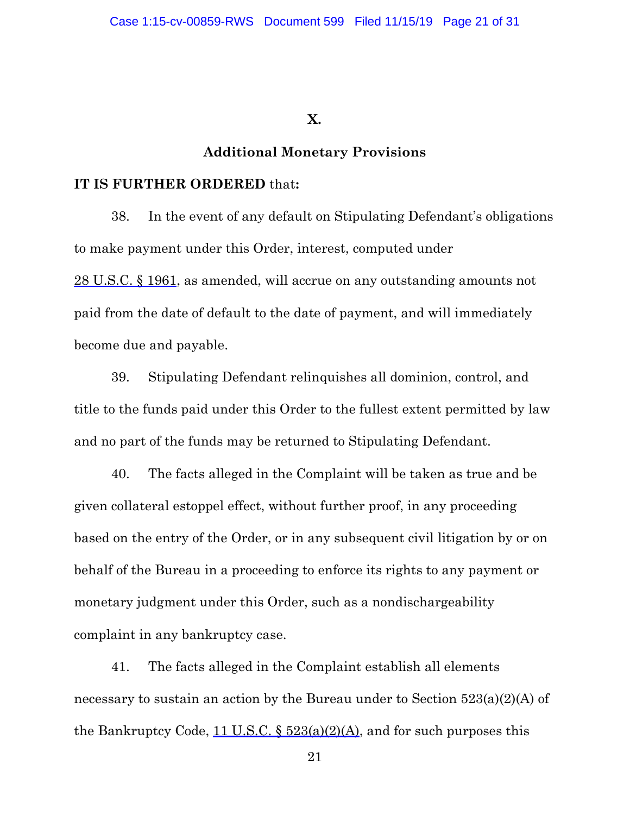**X.**

#### **Additional Monetary Provisions**

#### **IT IS FURTHER ORDERED** that**:**

38. In the event of any default on Stipulating Defendant's obligations to make payment under this Order, interest, computed under 28 U.S.C. § 1961, as amended, will accrue on any outstanding amounts not paid from the date of default to the date of payment, and will immediately become due and payable.

39. Stipulating Defendant relinquishes all dominion, control, and title to the funds paid under this Order to the fullest extent permitted by law and no part of the funds may be returned to Stipulating Defendant.

40. The facts alleged in the Complaint will be taken as true and be given collateral estoppel effect, without further proof, in any proceeding based on the entry of the Order, or in any subsequent civil litigation by or on behalf of the Bureau in a proceeding to enforce its rights to any payment or monetary judgment under this Order, such as a nondischargeability complaint in any bankruptcy case.

41. The facts alleged in the Complaint establish all elements necessary to sustain an action by the Bureau under to Section 523(a)(2)(A) of the Bankruptcy Code,  $11$  U.S.C.  $\frac{$23(a)(2)(A)}{A}$ , and for such purposes this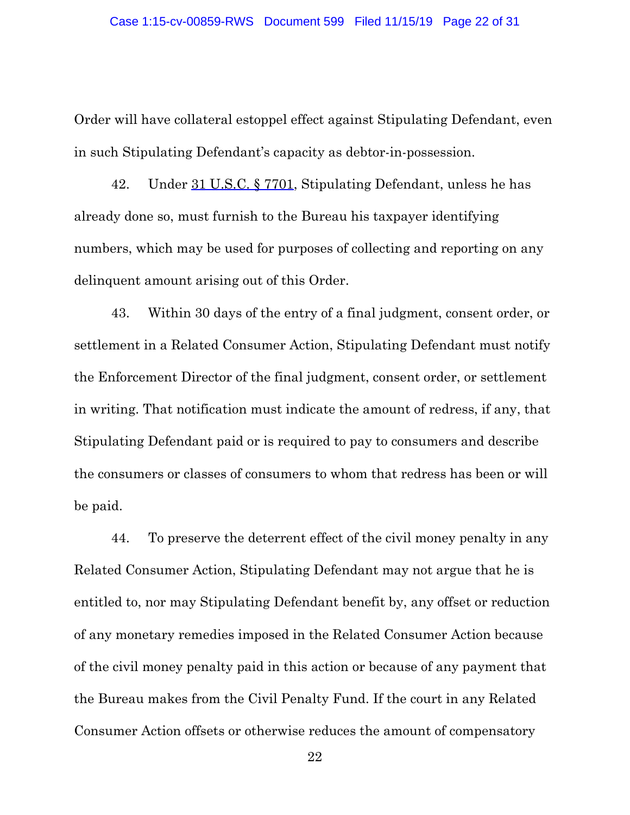Order will have collateral estoppel effect against Stipulating Defendant, even in such Stipulating Defendant's capacity as debtor-in-possession.

42. Under 31 U.S.C. § 7701, Stipulating Defendant, unless he has already done so, must furnish to the Bureau his taxpayer identifying numbers, which may be used for purposes of collecting and reporting on any delinquent amount arising out of this Order.

43. Within 30 days of the entry of a final judgment, consent order, or settlement in a Related Consumer Action, Stipulating Defendant must notify the Enforcement Director of the final judgment, consent order, or settlement in writing. That notification must indicate the amount of redress, if any, that Stipulating Defendant paid or is required to pay to consumers and describe the consumers or classes of consumers to whom that redress has been or will be paid.

44. To preserve the deterrent effect of the civil money penalty in any Related Consumer Action, Stipulating Defendant may not argue that he is entitled to, nor may Stipulating Defendant benefit by, any offset or reduction of any monetary remedies imposed in the Related Consumer Action because of the civil money penalty paid in this action or because of any payment that the Bureau makes from the Civil Penalty Fund. If the court in any Related Consumer Action offsets or otherwise reduces the amount of compensatory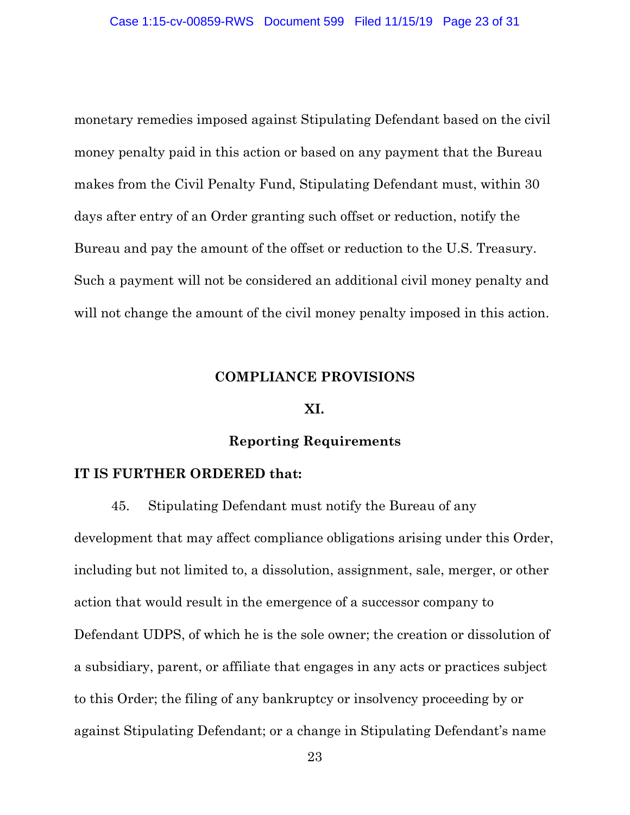monetary remedies imposed against Stipulating Defendant based on the civil money penalty paid in this action or based on any payment that the Bureau makes from the Civil Penalty Fund, Stipulating Defendant must, within 30 days after entry of an Order granting such offset or reduction, notify the Bureau and pay the amount of the offset or reduction to the U.S. Treasury. Such a payment will not be considered an additional civil money penalty and will not change the amount of the civil money penalty imposed in this action.

#### **COMPLIANCE PROVISIONS**

#### **XI.**

#### **Reporting Requirements**

#### **IT IS FURTHER ORDERED that:**

45. Stipulating Defendant must notify the Bureau of any development that may affect compliance obligations arising under this Order, including but not limited to, a dissolution, assignment, sale, merger, or other action that would result in the emergence of a successor company to Defendant UDPS, of which he is the sole owner; the creation or dissolution of a subsidiary, parent, or affiliate that engages in any acts or practices subject to this Order; the filing of any bankruptcy or insolvency proceeding by or against Stipulating Defendant; or a change in Stipulating Defendant's name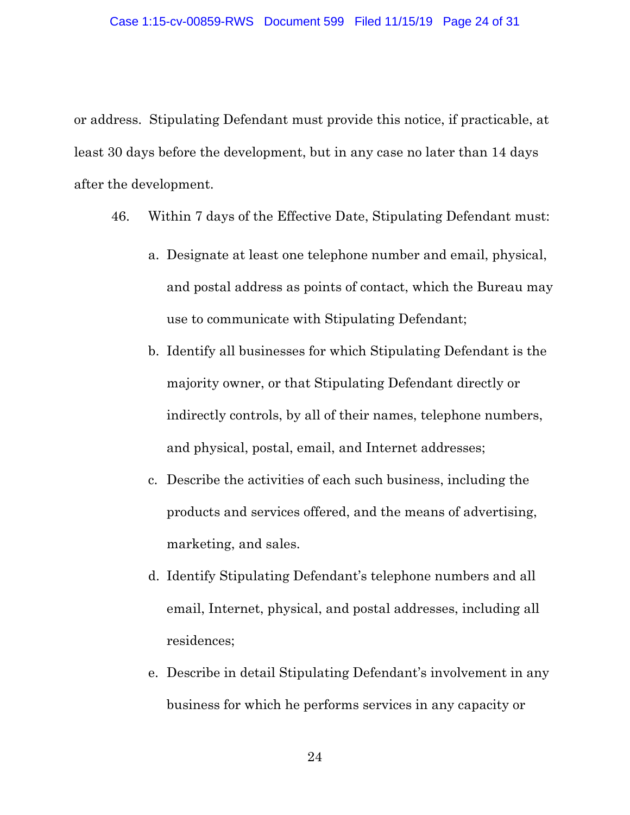#### Case 1:15-cv-00859-RWS Document 599 Filed 11/15/19 Page 24 of 31

or address. Stipulating Defendant must provide this notice, if practicable, at least 30 days before the development, but in any case no later than 14 days after the development.

- 46. Within 7 days of the Effective Date, Stipulating Defendant must:
	- a. Designate at least one telephone number and email, physical, and postal address as points of contact, which the Bureau may use to communicate with Stipulating Defendant;
	- b. Identify all businesses for which Stipulating Defendant is the majority owner, or that Stipulating Defendant directly or indirectly controls, by all of their names, telephone numbers, and physical, postal, email, and Internet addresses;
	- c. Describe the activities of each such business, including the products and services offered, and the means of advertising, marketing, and sales.
	- d. Identify Stipulating Defendant's telephone numbers and all email, Internet, physical, and postal addresses, including all residences;
	- e. Describe in detail Stipulating Defendant's involvement in any business for which he performs services in any capacity or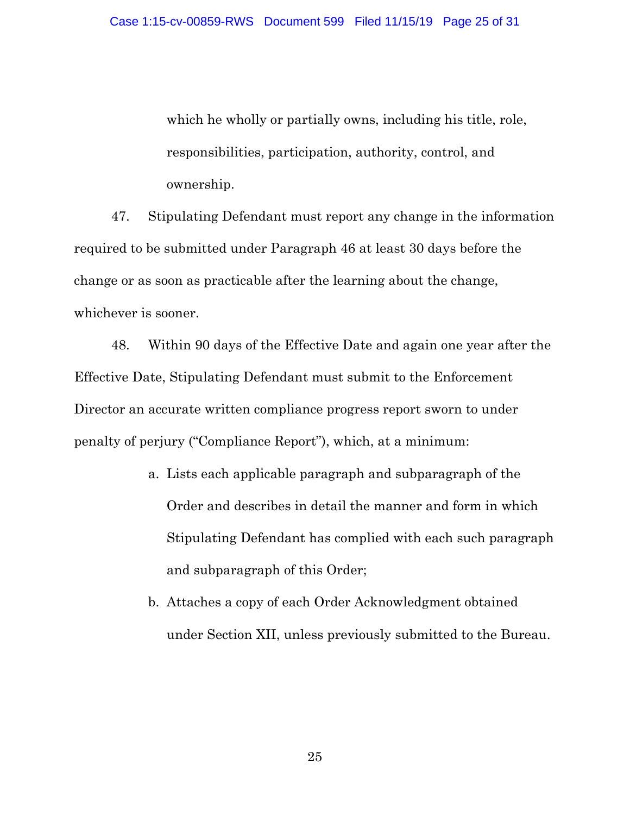which he wholly or partially owns, including his title, role, responsibilities, participation, authority, control, and ownership.

47. Stipulating Defendant must report any change in the information required to be submitted under Paragraph 46 at least 30 days before the change or as soon as practicable after the learning about the change, whichever is sooner.

48. Within 90 days of the Effective Date and again one year after the Effective Date, Stipulating Defendant must submit to the Enforcement Director an accurate written compliance progress report sworn to under penalty of perjury ("Compliance Report"), which, at a minimum:

- a. Lists each applicable paragraph and subparagraph of the Order and describes in detail the manner and form in which Stipulating Defendant has complied with each such paragraph and subparagraph of this Order;
- b. Attaches a copy of each Order Acknowledgment obtained under Section XII, unless previously submitted to the Bureau.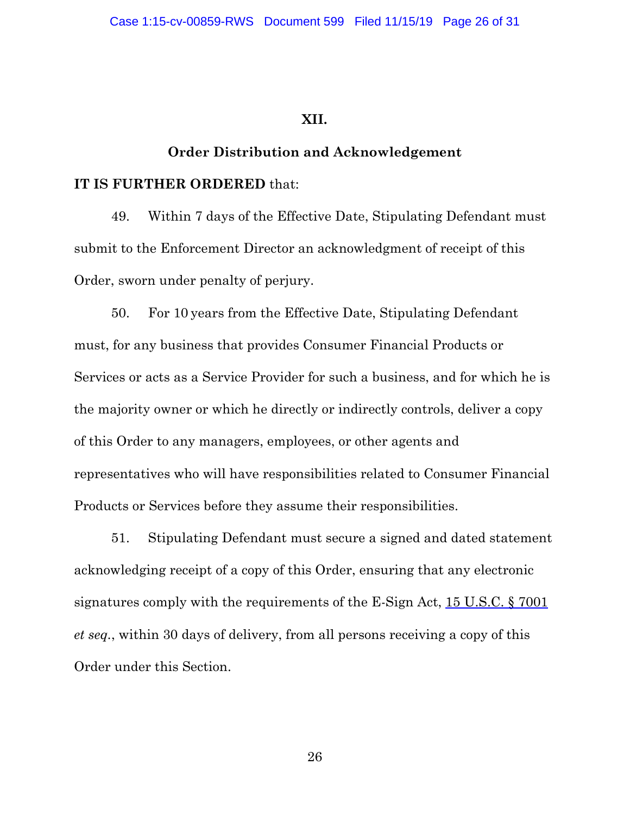#### **XII.**

#### **Order Distribution and Acknowledgement**

#### **IT IS FURTHER ORDERED** that:

49. Within 7 days of the Effective Date, Stipulating Defendant must submit to the Enforcement Director an acknowledgment of receipt of this Order, sworn under penalty of perjury.

50. For 10 years from the Effective Date, Stipulating Defendant must, for any business that provides Consumer Financial Products or Services or acts as a Service Provider for such a business, and for which he is the majority owner or which he directly or indirectly controls, deliver a copy of this Order to any managers, employees, or other agents and representatives who will have responsibilities related to Consumer Financial Products or Services before they assume their responsibilities.

51. Stipulating Defendant must secure a signed and dated statement acknowledging receipt of a copy of this Order, ensuring that any electronic signatures comply with the requirements of the E-Sign Act, 15 U.S.C. § 7001 *et seq.*, within 30 days of delivery, from all persons receiving a copy of this Order under this Section.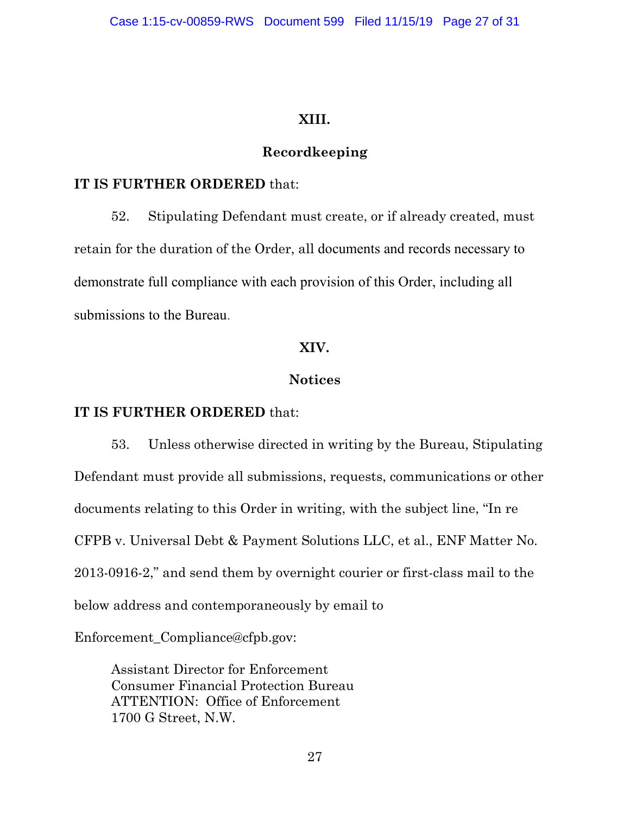# **XIII.**

# **Recordkeeping**

## **IT IS FURTHER ORDERED** that:

52. Stipulating Defendant must create, or if already created, must retain for the duration of the Order, all documents and records necessary to demonstrate full compliance with each provision of this Order, including all submissions to the Bureau.

#### **XIV.**

# **Notices**

# **IT IS FURTHER ORDERED** that:

53. Unless otherwise directed in writing by the Bureau, Stipulating Defendant must provide all submissions, requests, communications or other documents relating to this Order in writing, with the subject line, "In re CFPB v. Universal Debt & Payment Solutions LLC, et al., ENF Matter No. 2013-0916-2," and send them by overnight courier or first-class mail to the below address and contemporaneously by email to

Enforcement\_Compliance@cfpb.gov:

Assistant Director for Enforcement Consumer Financial Protection Bureau ATTENTION: Office of Enforcement 1700 G Street, N.W.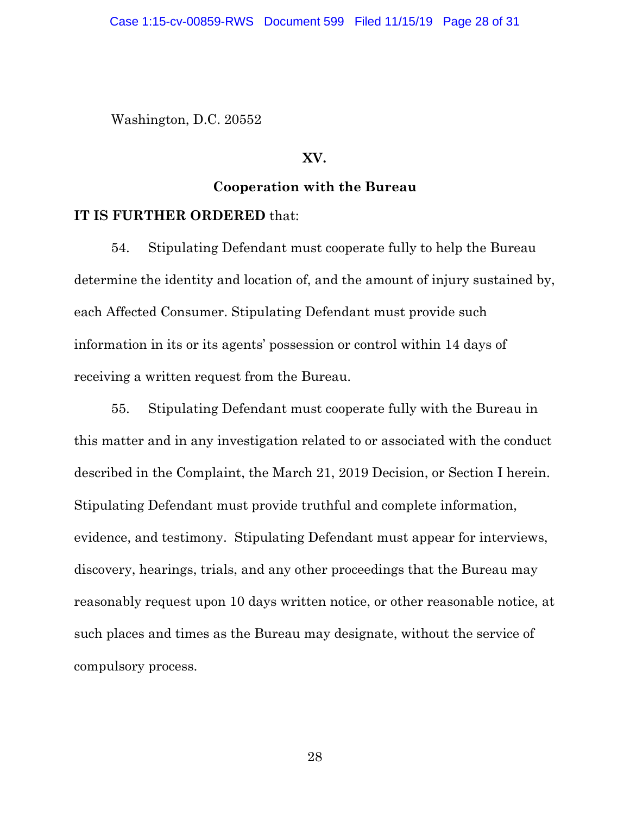Washington, D.C. 20552

#### **XV.**

#### **Cooperation with the Bureau**

#### **IT IS FURTHER ORDERED** that:

54. Stipulating Defendant must cooperate fully to help the Bureau determine the identity and location of, and the amount of injury sustained by, each Affected Consumer. Stipulating Defendant must provide such information in its or its agents' possession or control within 14 days of receiving a written request from the Bureau.

55. Stipulating Defendant must cooperate fully with the Bureau in this matter and in any investigation related to or associated with the conduct described in the Complaint, the March 21, 2019 Decision, or Section I herein. Stipulating Defendant must provide truthful and complete information, evidence, and testimony. Stipulating Defendant must appear for interviews, discovery, hearings, trials, and any other proceedings that the Bureau may reasonably request upon 10 days written notice, or other reasonable notice, at such places and times as the Bureau may designate, without the service of compulsory process.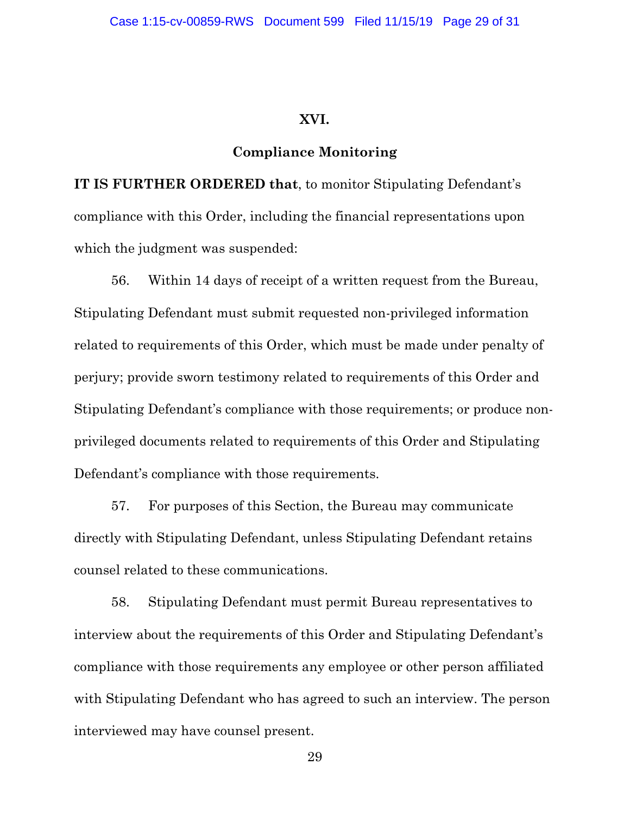#### **XVI.**

#### **Compliance Monitoring**

**IT IS FURTHER ORDERED that**, to monitor Stipulating Defendant's compliance with this Order, including the financial representations upon which the judgment was suspended:

56. Within 14 days of receipt of a written request from the Bureau, Stipulating Defendant must submit requested non-privileged information related to requirements of this Order, which must be made under penalty of perjury; provide sworn testimony related to requirements of this Order and Stipulating Defendant's compliance with those requirements; or produce nonprivileged documents related to requirements of this Order and Stipulating Defendant's compliance with those requirements.

57. For purposes of this Section, the Bureau may communicate directly with Stipulating Defendant, unless Stipulating Defendant retains counsel related to these communications.

58. Stipulating Defendant must permit Bureau representatives to interview about the requirements of this Order and Stipulating Defendant's compliance with those requirements any employee or other person affiliated with Stipulating Defendant who has agreed to such an interview. The person interviewed may have counsel present.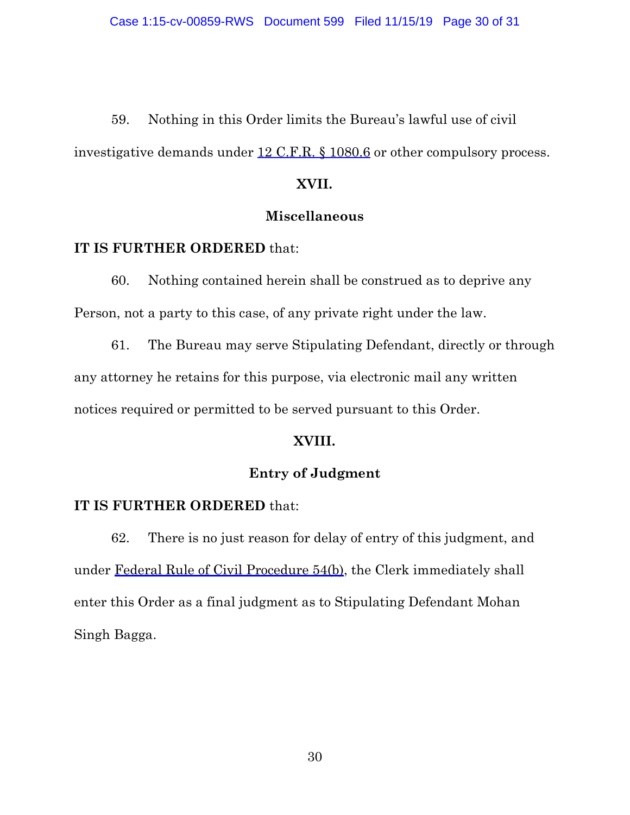59. Nothing in this Order limits the Bureau's lawful use of civil investigative demands under 12 C.F.R. § 1080.6 or other compulsory process.

# **XVII.**

#### **Miscellaneous**

#### **IT IS FURTHER ORDERED** that:

60. Nothing contained herein shall be construed as to deprive any Person, not a party to this case, of any private right under the law.

61. The Bureau may serve Stipulating Defendant, directly or through any attorney he retains for this purpose, via electronic mail any written notices required or permitted to be served pursuant to this Order.

# **XVIII.**

# **Entry of Judgment**

# **IT IS FURTHER ORDERED** that:

62. There is no just reason for delay of entry of this judgment, and under Federal Rule of Civil Procedure 54(b), the Clerk immediately shall enter this Order as a final judgment as to Stipulating Defendant Mohan Singh Bagga.